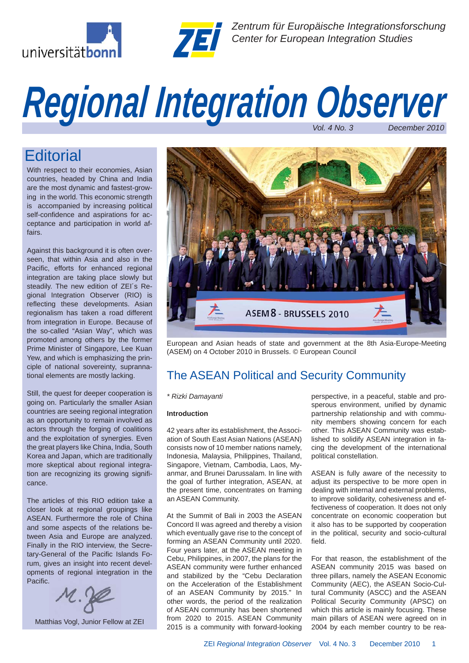



*Zentrum für Europäische Integrationsforschung Center for European Integration Studies*

# *Vol. 4 No. 3 December 2010 Regional Integration Observer*

## **Editorial**

With respect to their economies, Asian countries, headed by China and India are the most dynamic and fastest-growing in the world. This economic strength is accompanied by increasing political self-confidence and aspirations for acceptance and participation in world affairs.

Against this background it is often overseen, that within Asia and also in the Pacific, efforts for enhanced regional integration are taking place slowly but steadily. The new edition of ZEI´s Regional Integration Observer (RIO) is reflecting these developments. Asian regionalism has taken a road different from integration in Europe. Because of the so-called "Asian Way", which was promoted among others by the former Prime Minister of Singapore, Lee Kuan Yew, and which is emphasizing the principle of national sovereinty, suprannational elements are mostly lacking.

Still, the quest for deeper cooperation is going on. Particularly the smaller Asian countries are seeing regional integration as an opportunity to remain involved as actors through the forging of coalitions and the exploitation of synergies. Even the great players like China, India, South Korea and Japan, which are traditionally more skeptical about regional integration are recognizing its growing significance.

The articles of this RIO edition take a closer look at regional groupings like ASEAN. Furthermore the role of China and some aspects of the relations between Asia and Europe are analyzed. Finally in the RIO interview, the Secretary-General of the Pacific Islands Forum, gives an insight into recent developments of regional integration in the Pacific.



Matthias Vogl, Junior Fellow at ZEI



European and Asian heads of state and government at the 8th Asia-Europe-Meeting (ASEM) on 4 October 2010 in Brussels. © European Council

### The ASEAN Political and Security Community

### *\* Rizki Damayanti*

#### **Introduction**

42 years after its establishment, the Association of South East Asian Nations (ASEAN) consists now of 10 member nations namely, Indonesia, Malaysia, Philippines, Thailand, Singapore, Vietnam, Cambodia, Laos, Myanmar, and Brunei Darussalam. In line with the goal of further integration, ASEAN, at the present time, concentrates on framing an ASEAN Community.

At the Summit of Bali in 2003 the ASEAN Concord II was agreed and thereby a vision which eventually gave rise to the concept of forming an ASEAN Community until 2020. Four years later, at the ASEAN meeting in Cebu, Philippines, in 2007, the plans for the ASEAN community were further enhanced and stabilized by the "Cebu Declaration on the Acceleration of the Establishment of an ASEAN Community by 2015." In other words, the period of the realization of ASEAN community has been shortened from 2020 to 2015. ASEAN Community 2015 is a community with forward-looking

perspective, in a peaceful, stable and prosperous environment, unified by dynamic partnership relationship and with community members showing concern for each other. This ASEAN Community was established to solidify ASEAN integration in facing the development of the international political constellation.

ASEAN is fully aware of the necessity to adjust its perspective to be more open in dealing with internal and external problems, to improve solidarity, cohesiveness and effectiveness of cooperation. It does not only concentrate on economic cooperation but it also has to be supported by cooperation in the political, security and socio-cultural field.

For that reason, the establishment of the ASEAN community 2015 was based on three pillars, namely the ASEAN Economic Community (AEC), the ASEAN Socio-Cultural Community (ASCC) and the ASEAN Political Security Community (APSC) on which this article is mainly focusing. These main pillars of ASEAN were agreed on in 2004 by each member country to be rea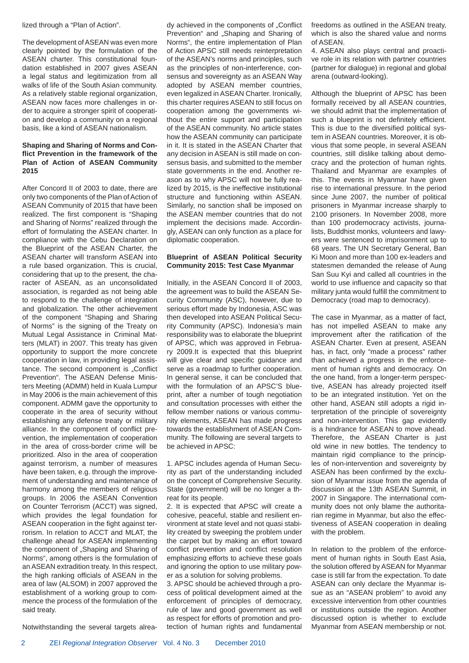lized through a "Plan of Action".

The development of ASEAN was even more clearly pointed by the formulation of the ASEAN charter. This constitutional foundation established in 2007 gives ASEAN a legal status and legitimization from all walks of life of the South Asian community. As a relatively stable regional organization, ASEAN now faces more challenges in order to acquire a stronger spirit of cooperation and develop a community on a regional basis, like a kind of ASEAN nationalism.

### **Shaping and Sharing of Norms and Confl ict Prevention in the framework of the Plan of Action of ASEAN Community 2015**

After Concord II of 2003 to date, there are only two components of the Plan of Action of ASEAN Community of 2015 that have been realized. The first component is "Shaping and Sharing of Norms" realized through the effort of formulating the ASEAN charter. In compliance with the Cebu Declaration on the Blueprint of the ASEAN Charter, the ASEAN charter will transform ASEAN into a rule based organization. This is crucial, considering that up to the present, the character of ASEAN, as an unconsolidated association, is regarded as not being able to respond to the challenge of integration and globalization. The other achievement of the component "Shaping and Sharing of Norms" is the signing of the Treaty on Mutual Legal Assistance in Criminal Matters (MLAT) in 2007. This treaty has given opportunity to support the more concrete cooperation in law, in providing legal assistance. The second component is "Conflict Prevention". The ASEAN Defense Ministers Meeting (ADMM) held in Kuala Lumpur in May 2006 is the main achievement of this component. ADMM gave the opportunity to cooperate in the area of security without establishing any defense treaty or military alliance. In the component of conflict prevention, the implementation of cooperation in the area of cross-border crime will be prioritized. Also in the area of cooperation against terrorism, a number of measures have been taken, e.g. through the improvement of understanding and maintenance of harmony among the members of religious groups. In 2006 the ASEAN Convention on Counter Terrorism (ACCT) was signed, which provides the legal foundation for ASEAN cooperation in the fight against terrorism. In relation to ACCT and MLAT, the challenge ahead for ASEAN implementing the component of "Shaping and Sharing of Norms", among others is the formulation of an ASEAN extradition treaty. In this respect, the high ranking officials of ASEAN in the area of law (ALSOM) in 2007 approved the establishment of a working group to commence the process of the formulation of the said treaty.

Notwithstanding the several targets alrea-

dy achieved in the components of "Conflict Prevention" and "Shaping and Sharing of Norms", the entire implementation of Plan of Action APSC still needs reinterpretation of the ASEAN's norms and principles, such as the principles of non-interference, consensus and sovereignty as an ASEAN Way adopted by ASEAN member countries, even legalized in ASEAN Charter. Ironically, this charter requires ASEAN to still focus on cooperation among the governments without the entire support and participation of the ASEAN community. No article states how the ASEAN community can participate in it. It is stated in the ASEAN Charter that any decision in ASEAN is still made on consensus basis, and submitted to the member state governments in the end. Another reason as to why APSC will not be fully realized by 2015, is the ineffective institutional structure and functioning within ASEAN. Similarly, no sanction shall be imposed on the ASEAN member countries that do not implement the decisions made. Accordingly, ASEAN can only function as a place for diplomatic cooperation.

#### **Blueprint of ASEAN Political Security Community 2015: Test Case Myanmar**

Initially, in the ASEAN Concord II of 2003, the agreement was to build the ASEAN Security Community (ASC), however, due to serious effort made by Indonesia, ASC was then developed into ASEAN Political Security Community (APSC). Indonesia's main responsibility was to elaborate the blueprint of APSC, which was approved in February 2009.It is expected that this blueprint will give clear and specific guidance and serve as a roadmap to further cooperation. In general sense, it can be concluded that with the formulation of an APSC'S blueprint, after a number of tough negotiation and consultation processes with either the fellow member nations or various community elements, ASEAN has made progress towards the establishment of ASEAN Community. The following are several targets to be achieved in APSC:

1. APSC includes agenda of Human Security as part of the understanding included on the concept of Comprehensive Security. State (government) will be no longer a threat for its people.

2. It is expected that APSC will create a cohesive, peaceful, stable and resilient environment at state level and not quasi stability created by sweeping the problem under the carpet but by making an effort toward conflict prevention and conflict resolution emphasizing efforts to achieve these goals and ignoring the option to use military power as a solution for solving problems.

3. APSC should be achieved through a process of political development aimed at the enforcement of principles of democracy, rule of law and good government as well as respect for efforts of promotion and protection of human rights and fundamental freedoms as outlined in the ASEAN treaty, which is also the shared value and norms of ASEAN.

4. ASEAN also plays central and proactive role in its relation with partner countries (partner for dialogue) in regional and global arena (outward-looking).

Although the blueprint of APSC has been formally received by all ASEAN countries, we should admit that the implementation of such a blueprint is not definitely efficient. This is due to the diversified political system in ASEAN countries. Moreover, it is obvious that some people, in several ASEAN countries, still dislike talking about democracy and the protection of human rights. Thailand and Myanmar are examples of this. The events in Myanmar have given rise to international pressure. In the period since June 2007, the number of political prisoners in Myanmar increase sharply to 2100 prisoners. In November 2008, more than 100 prodemocracy activists, journalists, Buddhist monks, volunteers and lawyers were sentenced to imprisonment up to 68 years. The UN Secretary General, Ban Ki Moon and more than 100 ex-leaders and statesmen demanded the release of Aung San Suu Kyi and called all countries in the world to use influence and capacity so that military junta would fulfill the commitment to Democracy (road map to democracy).

The case in Myanmar, as a matter of fact, has not impelled ASEAN to make any improvement after the ratification of the ASEAN Charter. Even at present, ASEAN has, in fact, only "made a process" rather than achieved a progress in the enforcement of human rights and democracy. On the one hand, from a longer-term perspective, ASEAN has already projected itself to be an integrated institution. Yet on the other hand, ASEAN still adopts a rigid interpretation of the principle of sovereignty and non-intervention. This gap evidently is a hindrance for ASEAN to move ahead. Therefore, the ASEAN Charter is just old wine in new bottles. The tendency to maintain rigid compliance to the principles of non-intervention and sovereignty by ASEAN has been confirmed by the exclusion of Myanmar issue from the agenda of discussion at the 13th ASEAN Summit, in 2007 in Singapore. The international community does not only blame the authoritarian regime in Myanmar, but also the effectiveness of ASEAN cooperation in dealing with the problem.

In relation to the problem of the enforcement of human rights in South East Asia, the solution offered by ASEAN for Myanmar case is still far from the expectation. To date ASEAN can only declare the Myanmar issue as an "ASEAN problem" to avoid any excessive intervention from other countries or institutions outside the region. Another discussed option is whether to exclude Myanmar from ASEAN membership or not.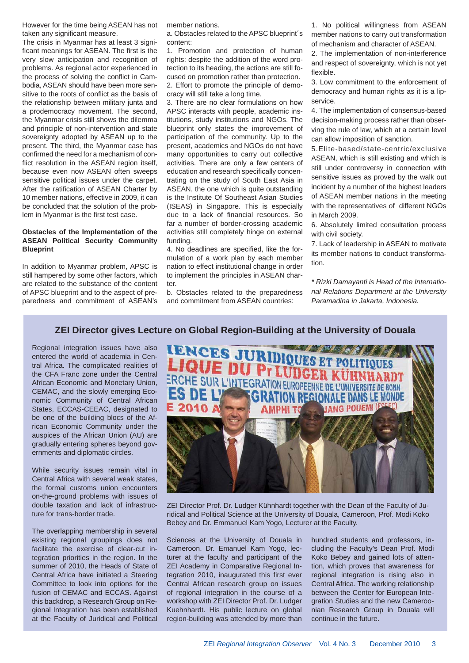However for the time being ASEAN has not taken any significant measure.

The crisis in Myanmar has at least 3 significant meanings for ASEAN. The first is the very slow anticipation and recognition of problems. As regional actor experienced in the process of solving the conflict in Cambodia, ASEAN should have been more sensitive to the roots of conflict as the basis of the relationship between military junta and a prodemocracy movement. The second, the Myanmar crisis still shows the dilemma and principle of non-intervention and state sovereignty adopted by ASEAN up to the present. The third, the Myanmar case has confirmed the need for a mechanism of conflict resolution in the ASEAN region itself, because even now ASEAN often sweeps sensitive political issues under the carpet. After the ratification of ASEAN Charter by 10 member nations, effective in 2009, it can be concluded that the solution of the problem in Myanmar is the first test case.

### **Obstacles of the Implementation of the ASEAN Political Security Community Blueprint**

In addition to Myanmar problem, APSC is still hampered by some other factors, which are related to the substance of the content of APSC blueprint and to the aspect of preparedness and commitment of ASEAN's member nations.

a. Obstacles related to the APSC blueprint´s content:

1. Promotion and protection of human rights: despite the addition of the word protection to its heading, the actions are still focused on promotion rather than protection. 2. Effort to promote the principle of democracy will still take a long time.

3. There are no clear formulations on how APSC interacts with people, academic institutions, study institutions and NGOs. The blueprint only states the improvement of participation of the community. Up to the present, academics and NGOs do not have many opportunities to carry out collective activities. There are only a few centers of education and research specifically concentrating on the study of South East Asia in ASEAN, the one which is quite outstanding is the Institute Of Southeast Asian Studies (ISEAS) in Singapore. This is especially due to a lack of financial resources. So far a number of border-crossing academic activities still completely hinge on external funding.

4. No deadlines are specified, like the formulation of a work plan by each member nation to effect institutional change in order to implement the principles in ASEAN charter.

b. Obstacles related to the preparedness and commitment from ASEAN countries:

1. No political willingness from ASEAN member nations to carry out transformation of mechanism and character of ASEAN.

2. The implementation of non-interference and respect of sovereignty, which is not yet flexible.

3. Low commitment to the enforcement of democracy and human rights as it is a lipservice.

4. The implementation of consensus-based decision-making process rather than observing the rule of law, which at a certain level can allow imposition of sanction.

5.Elite-based/state-centric/exclusive ASEAN, which is still existing and which is still under controversy in connection with sensitive issues as proved by the walk out incident by a number of the highest leaders of ASEAN member nations in the meeting with the representatives of different NGOs in March 2009.

6. Absolutely limited consultation process with civil society.

7. Lack of leadership in ASEAN to motivate its member nations to conduct transformation.

*\* Rizki Damayanti is Head of the International Relations Department at the University Paramadina in Jakarta, Indonesia.*

### **ZEI Director gives Lecture on Global Region-Building at the University of Douala**

Regional integration issues have also entered the world of academia in Central Africa. The complicated realities of the CFA Franc zone under the Central African Economic and Monetary Union, CEMAC, and the slowly emerging Economic Community of Central African States, ECCAS-CEEAC, designated to be one of the building blocs of the African Economic Community under the auspices of the African Union (AU) are gradually entering spheres beyond governments and diplomatic circles.

While security issues remain vital in Central Africa with several weak states, the formal customs union encounters on-the-ground problems with issues of double taxation and lack of infrastructure for trans-border trade.

The overlapping membership in several existing regional groupings does not facilitate the exercise of clear-cut integration priorities in the region. In the summer of 2010, the Heads of State of Central Africa have initiated a Steering Committee to look into options for the fusion of CEMAC and ECCAS. Against this backdrop, a Research Group on Regional Integration has been established at the Faculty of Juridical and Political



ZEI Director Prof. Dr. Ludger Kühnhardt together with the Dean of the Faculty of Juridical and Political Science at the University of Douala, Cameroon, Prof. Modi Koko Bebey and Dr. Emmanuel Kam Yogo, Lecturer at the Faculty.

Sciences at the University of Douala in Cameroon. Dr. Emanuel Kam Yogo, lecturer at the faculty and participant of the ZEI Academy in Comparative Regional Integration 2010, inaugurated this first ever Central African research group on issues of regional integration in the course of a workshop with ZEI Director Prof. Dr. Ludger Kuehnhardt. His public lecture on global region-building was attended by more than hundred students and professors, including the Faculty's Dean Prof. Modi Koko Bebey and gained lots of attention, which proves that awareness for regional integration is rising also in Central Africa. The working relationship between the Center for European Integration Studies and the new Cameroonian Research Group in Douala will continue in the future.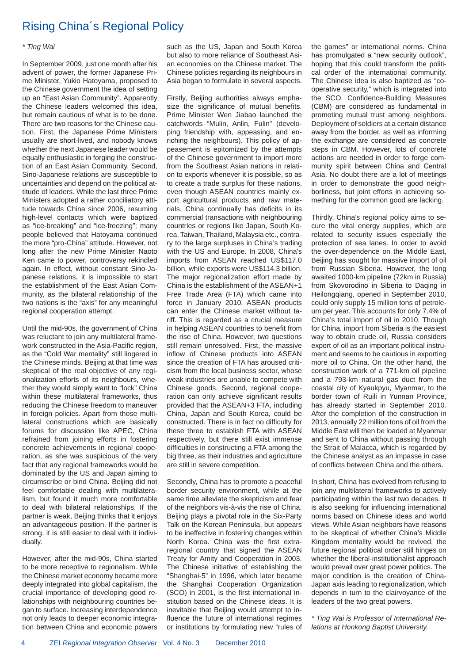### Rising China´s Regional Policy

#### *\* Ting Wai*

In September 2009, just one month after his advent of power, the former Japanese Prime Minister, Yukio Hatoyama, proposed to the Chinese government the idea of setting up an "East Asian Community". Apparently the Chinese leaders welcomed this idea, but remain cautious of what is to be done. There are two reasons for the Chinese caution. First, the Japanese Prime Ministers usually are short-lived, and nobody knows whether the next Japanese leader would be equally enthusiastic in forging the construction of an East Asian Community. Second, Sino-Japanese relations are susceptible to uncertainties and depend on the political attitude of leaders. While the last three Prime Ministers adopted a rather conciliatory attitude towards China since 2006, resuming high-level contacts which were baptized as "ice-breaking" and "ice-freezing"; many people believed that Hatoyama continued the more "pro-China" attitude. However, not long after the new Prime Minister Naoto Ken came to power, controversy rekindled again. In effect, without constant Sino-Japanese relations, it is impossible to start the establishment of the East Asian Community, as the bilateral relationship of the two nations is the "axis" for any meaningful regional cooperation attempt.

Until the mid-90s, the government of China was reluctant to join any multilateral framework constructed in the Asia-Pacific region, as the "Cold War mentality" still lingered in the Chinese minds. Beijing at that time was skeptical of the real objective of any regionalization efforts of its neighbours, whether they would simply want to "lock" China within these multilateral frameworks, thus reducing the Chinese freedom to maneuver in foreign policies. Apart from those multilateral constructions which are basically forums for discussion like APEC, China refrained from joining efforts in fostering concrete achievements in regional cooperation, as she was suspicious of the very fact that any regional frameworks would be dominated by the US and Japan aiming to circumscribe or bind China. Beijing did not feel comfortable dealing with multilateralism, but found it much more comfortable to deal with bilateral relationships. If the partner is weak, Beijing thinks that it enjoys an advantageous position. If the partner is strong, it is still easier to deal with it individually.

However, after the mid-90s, China started to be more receptive to regionalism. While the Chinese market economy became more deeply integrated into global capitalism, the crucial importance of developing good relationships with neighbouring countries began to surface. Increasing interdependence not only leads to deeper economic integration between China and economic powers such as the US, Japan and South Korea but also to more reliance of Southeast Asian economies on the Chinese market. The Chinese policies regarding its neighbours in Asia began to formulate in several aspects.

Firstly, Beijing authorities always emphasize the significance of mutual benefits. Prime Minister Wen Jiabao launched the catchwords "Mulin, Anlin, Fulin" (developing friendship with, appeasing, and enriching the neighbours). This policy of appeasement is epitomized by the attempts of the Chinese government to import more from the Southeast Asian nations in relation to exports whenever it is possible, so as to create a trade surplus for these nations, even though ASEAN countries mainly export agricultural products and raw materials. China continually has deficits in its commercial transactions with neighbouring countries or regions like Japan, South Korea, Taiwan, Thailand, Malaysia etc., contrary to the large surpluses in China's trading with the US and Europe. In 2008, China's imports from ASEAN reached US\$117.0 billion, while exports were US\$114.3 billion. The major regionalization effort made by China is the establishment of the ASEAN+1 Free Trade Area (FTA) which came into force in January 2010. ASEAN products can enter the Chinese market without tariff. This is regarded as a crucial measure in helping ASEAN countries to benefit from the rise of China. However, two questions still remain unresolved. First, the massive inflow of Chinese products into ASEAN since the creation of FTA has aroused criticism from the local business sector, whose weak industries are unable to compete with Chinese goods. Second, regional cooperation can only achieve significant results provided that the ASEAN+3 FTA, including China, Japan and South Korea, could be constructed. There is in fact no difficulty for these three to establish FTA with ASEAN respectively, but there still exist immense difficulties in constructing a FTA among the big three, as their industries and agriculture are still in severe competition.

Secondly, China has to promote a peaceful border security environment, while at the same time alleviate the skepticism and fear of the neighbors vis-à-vis the rise of China. Beijing plays a pivotal role in the Six-Party Talk on the Korean Peninsula, but appears to be ineffective in fostering changes within North Korea. China was the first extraregional country that signed the ASEAN Treaty for Amity and Cooperation in 2003. The Chinese initiative of establishing the "Shanghai-5" in 1996, which later became the Shanghai Cooperation Organization  $(SCO)$  in 2001, is the first international institution based on the Chinese ideas. It is inevitable that Beijing would attempt to influence the future of international regimes or institutions by formulating new "rules of the games" or international norms. China has promulgated a "new security outlook", hoping that this could transform the political order of the international community. The Chinese idea is also baptized as "cooperative security," which is integrated into the SCO. Confidence-Building Measures (CBM) are considered as fundamental in promoting mutual trust among neighbors. Deployment of soldiers at a certain distance away from the border, as well as informing the exchange are considered as concrete steps in CBM. However, lots of concrete actions are needed in order to forge community spirit between China and Central Asia. No doubt there are a lot of meetings in order to demonstrate the good neighborliness, but joint efforts in achieving something for the common good are lacking.

Thirdly, China's regional policy aims to secure the vital energy supplies, which are related to security issues especially the protection of sea lanes. In order to avoid the over-dependence on the Middle East, Beijing has sought for massive import of oil from Russian Siberia. However, the long awaited 1000-km pipeline (72km in Russia) from Skovorodino in Siberia to Daqing in Heilongqiang, opened in September 2010, could only supply 15 million tons of petroleum per year. This accounts for only 7.4% of China's total import of oil in 2010. Though for China, import from Siberia is the easiest way to obtain crude oil, Russia considers export of oil as an important political instrument and seems to be cautious in exporting more oil to China. On the other hand, the construction work of a 771-km oil pipeline and a 793-km natural gas duct from the coastal city of Kyaukpyu, Myanmar, to the border town of Ruili in Yunnan Province, has already started in September 2010. After the completion of the construction in 2013, annually 22 million tons of oil from the Middle East will then be loaded at Myanmar and sent to China without passing through the Strait of Malacca, which is regarded by the Chinese analyst as an impasse in case of conflicts between China and the others.

In short, China has evolved from refusing to join any multilateral frameworks to actively participating within the last two decades. It is also seeking for influencing international norms based on Chinese ideas and world views. While Asian neighbors have reasons to be skeptical of whether China's Middle Kingdom mentality would be revived, the future regional political order still hinges on whether the liberal-institutionalist approach would prevail over great power politics. The major condition is the creation of China-Japan axis leading to regionalization, which depends in turn to the clairvoyance of the leaders of the two great powers.

*\* Ting Wai is Professor of International Relations at Honkong Baptist University.*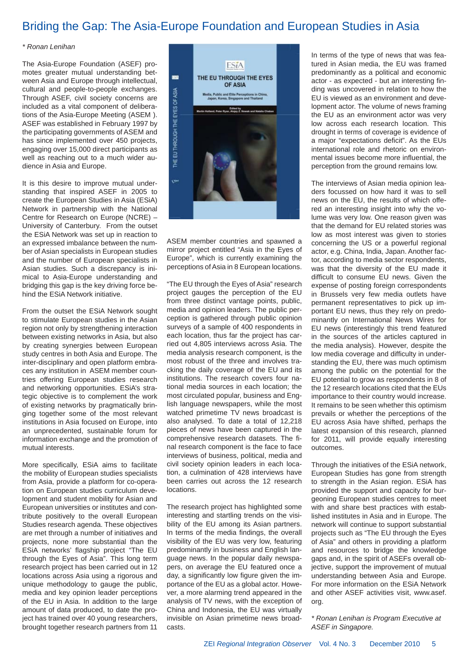### Briding the Gap: The Asia-Europe Foundation and European Studies in Asia

### *\* Ronan Lenihan*

The Asia-Europe Foundation (ASEF) promotes greater mutual understanding between Asia and Europe through intellectual, cultural and people-to-people exchanges. Through ASEF, civil society concerns are included as a vital component of deliberations of the Asia-Europe Meeting (ASEM ). ASEF was established in February 1997 by the participating governments of ASEM and has since implemented over 450 projects, engaging over 15,000 direct participants as well as reaching out to a much wider audience in Asia and Europe.

It is this desire to improve mutual understanding that inspired ASEF in 2005 to create the European Studies in Asia (ESiA) Network in partnership with the National Centre for Research on Europe (NCRE) – University of Canterbury. From the outset the ESiA Network was set up in reaction to an expressed imbalance between the number of Asian specialists in European studies and the number of European specialists in Asian studies. Such a discrepancy is inimical to Asia-Europe understanding and bridging this gap is the key driving force behind the ESiA Network initiative.

From the outset the ESiA Network sought to stimulate European studies in the Asian region not only by strengthening interaction between existing networks in Asia, but also by creating synergies between European study centres in both Asia and Europe. The inter-disciplinary and open platform embraces any institution in ASEM member countries offering European studies research and networking opportunities. ESiA's strategic objective is to complement the work of existing networks by pragmatically bringing together some of the most relevant institutions in Asia focused on Europe, into an unprecedented, sustainable forum for information exchange and the promotion of mutual interests.

More specifically, ESiA aims to facilitate the mobility of European studies specialists from Asia, provide a platform for co-operation on European studies curriculum development and student mobility for Asian and European universities or institutes and contribute positively to the overall European Studies research agenda. These objectives are met through a number of initiatives and projects, none more substantial than the ESiA networks' flagship project "The EU through the Eyes of Asia". This long term research project has been carried out in 12 locations across Asia using a rigorous and unique methodology to gauge the public, media and key opinion leader perceptions of the EU in Asia. In addition to the large amount of data produced, to date the project has trained over 40 young researchers, brought together research partners from 11



ASEM member countries and spawned a mirror project entitled "Asia in the Eyes of Europe", which is currently examining the perceptions of Asia in 8 European locations.

"The EU through the Eyes of Asia" research project gauges the perception of the EU from three distinct vantage points, public, media and opinion leaders. The public perception is gathered through public opinion surveys of a sample of 400 respondents in each location, thus far the project has carried out 4,805 interviews across Asia. The media analysis research component, is the most robust of the three and involves tracking the daily coverage of the EU and its institutions. The research covers four national media sources in each location; the most circulated popular, business and English language newspapers, while the most watched primetime TV news broadcast is also analysed. To date a total of 12,218 pieces of news have been captured in the comprehensive research datasets. The final research component is the face to face interviews of business, political, media and civil society opinion leaders in each location, a culmination of 428 interviews have been carries out across the 12 research locations.

The research project has highlighted some interesting and startling trends on the visibility of the EU among its Asian partners. In terms of the media findings, the overall visibility of the EU was very low, featuring predominantly in business and English language news. In the popular daily newspapers, on average the EU featured once a day, a significantly low figure given the importance of the EU as a global actor. However, a more alarming trend appeared in the analysis of TV news, with the exception of China and Indonesia, the EU was virtually invisible on Asian primetime news broadcasts.

In terms of the type of news that was featured in Asian media, the EU was framed predominantly as a political and economic actor - as expected - but an interesting finding was uncovered in relation to how the EU is viewed as an environment and development actor. The volume of news framing the EU as an environment actor was very low across each research location. This drought in terms of coverage is evidence of a major "expectations deficit". As the EUs international role and rhetoric on environmental issues become more influential, the perception from the ground remains low.

The interviews of Asian media opinion leaders focussed on how hard it was to sell news on the EU, the results of which offered an interesting insight into why the volume was very low. One reason given was that the demand for EU related stories was low as most interest was given to stories concerning the US or a powerful regional actor, e.g. China, India, Japan. Another factor, according to media sector respondents, was that the diversity of the EU made it difficult to consume EU news. Given the expense of posting foreign correspondents in Brussels very few media outlets have permanent representatives to pick up important EU news, thus they rely on predominantly on International News Wires for EU news (interestingly this trend featured in the sources of the articles captured in the media analysis). However, despite the low media coverage and difficulty in understanding the EU, there was much optimism among the public on the potential for the EU potential to grow as respondents in 8 of the 12 research locations cited that the EUs importance to their country would increase. It remains to be seen whether this optimism prevails or whether the perceptions of the EU across Asia have shifted, perhaps the latest expansion of this research, planned for 2011, will provide equally interesting outcomes.

Through the initiatives of the ESiA network, European Studies has gone from strength to strength in the Asian region. ESiA has provided the support and capacity for burgeoning European studies centres to meet with and share best practices with established institutes in Asia and in Europe. The network will continue to support substantial projects such as "The EU through the Eyes of Asia" and others in providing a platform and resources to bridge the knowledge gaps and, in the spirit of ASEFs overall objective, support the improvement of mutual understanding between Asia and Europe. For more information on the ESiA Network and other ASEF activities visit, www.asef. org.

*\* Ronan Lenihan is Program Executive at ASEF in Singapore.*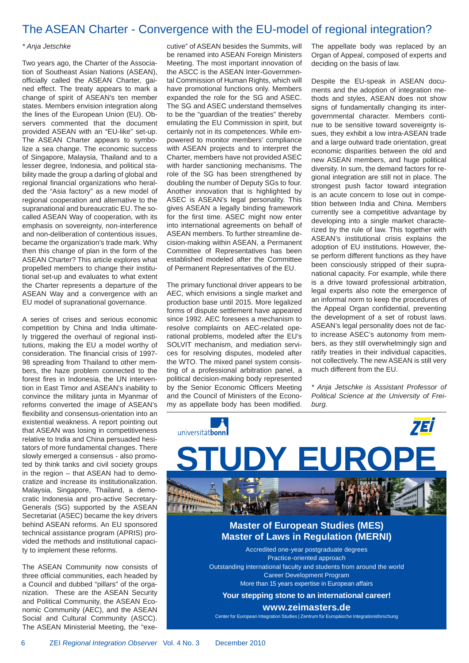### The ASEAN Charter - Convergence with the EU-model of regional integration?

### *\* Anja Jetschke*

Two years ago, the Charter of the Association of Southeast Asian Nations (ASEAN), officially called the ASEAN Charter, gained effect. The treaty appears to mark a change of spirit of ASEAN's ten member states. Members envision integration along the lines of the European Union (EU). Observers commented that the document provided ASEAN with an "EU-like" set-up. The ASEAN Charter appears to symbolize a sea change. The economic success of Singapore, Malaysia, Thailand and to a lesser degree, Indonesia, and political stability made the group a darling of global and regional financial organizations who heralded the "Asia factory" as a new model of regional cooperation and alternative to the supranational and bureaucratic EU. The socalled ASEAN Way of cooperation, with its emphasis on sovereignty, non-interference and non-deliberation of contentious issues, became the organization's trade mark. Why then this change of plan in the form of the ASEAN Charter? This article explores what propelled members to change their institutional set-up and evaluates to what extent the Charter represents a departure of the ASEAN Way and a convergence with an EU model of supranational governance.

A series of crises and serious economic competition by China and India ultimately triggered the overhaul of regional institutions, making the EU a model worthy of consideration. The financial crisis of 1997-98 spreading from Thailand to other members, the haze problem connected to the forest fires in Indonesia, the UN intervention in East Timor and ASEAN's inability to convince the military junta in Myanmar of reforms converted the image of ASEAN's flexibility and consensus-orientation into an existential weakness. A report pointing out that ASEAN was losing in competitiveness relative to India and China persuaded hesitators of more fundamental changes. There slowly emerged a consensus - also promoted by think tanks and civil society groups in the region – that ASEAN had to democratize and increase its institutionalization. Malaysia, Singapore, Thailand, a democratic Indonesia and pro-active Secretary-Generals (SG) supported by the ASEAN Secretariat (ASEC) became the key drivers behind ASEAN reforms. An EU sponsored technical assistance program (APRIS) provided the methods and institutional capacity to implement these reforms.

The ASEAN Community now consists of three official communities, each headed by a Council and dubbed "pillars" of the organization. These are the ASEAN Security and Political Community, the ASEAN Economic Community (AEC), and the ASEAN Social and Cultural Community (ASCC). The ASEAN Ministerial Meeting, the "executive" of ASEAN besides the Summits, will be renamed into ASEAN Foreign Ministers Meeting. The most important innovation of the ASCC is the ASEAN Inter-Governmental Commission of Human Rights, which will have promotional functions only. Members expanded the role for the SG and ASEC. The SG and ASEC understand themselves to be the "guardian of the treaties" thereby emulating the EU Commission in spirit, but certainly not in its competences. While empowered to monitor members' compliance with ASEAN projects and to interpret the Charter, members have not provided ASEC with harder sanctioning mechanisms. The role of the SG has been strengthened by doubling the number of Deputy SGs to four. Another innovation that is highlighted by ASEC is ASEAN's legal personality. This gives ASEAN a legally binding framework for the first time. ASEC might now enter into international agreements on behalf of ASEAN members. To further streamline decision-making within ASEAN, a Permanent Committee of Representatives has been established modeled after the Committee of Permanent Representatives of the EU.

The primary functional driver appears to be AEC, which envisions a single market and production base until 2015. More legalized forms of dispute settlement have appeared since 1992. AEC foresees a mechanism to resolve complaints on AEC-related operational problems, modeled after the EU's SOLVIT mechanism, and mediation services for resolving disputes, modeled after the WTO. The mixed panel system consisting of a professional arbitration panel, a political decision-making body represented by the Senior Economic Officers Meeting and the Council of Ministers of the Economy as appellate body has been modified.

The appellate body was replaced by an Organ of Appeal, composed of experts and deciding on the basis of law.

Despite the EU-speak in ASEAN documents and the adoption of integration methods and styles, ASEAN does not show signs of fundamentally changing its intergovernmental character. Members continue to be sensitive toward sovereignty issues, they exhibit a low intra-ASEAN trade and a large outward trade orientation, great economic disparities between the old and new ASEAN members, and huge political diversity. In sum, the demand factors for regional integration are still not in place. The strongest push factor toward integration is an acute concern to lose out in competition between India and China. Members currently see a competitive advantage by developing into a single market characterized by the rule of law. This together with ASEAN's institutional crisis explains the adoption of EU institutions. However, these perform different functions as they have been consciously stripped of their supranational capacity. For example, while there is a drive toward professional arbitration, legal experts also note the emergence of an informal norm to keep the procedures of the Appeal Organ confidential, preventing the development of a set of robust laws. ASEAN's legal personality does not de facto increase ASEC's autonomy from members, as they still overwhelmingly sign and ratify treaties in their individual capacities, not collectively. The new ASEAN is still very much different from the EU.

*\* Anja Jetschke is Assistant Professor of Political Science at the University of Freiburg.*



**www.zeimasters.de**

Center for European Integration Studies | Zentrum für Europäische Integrationsforschung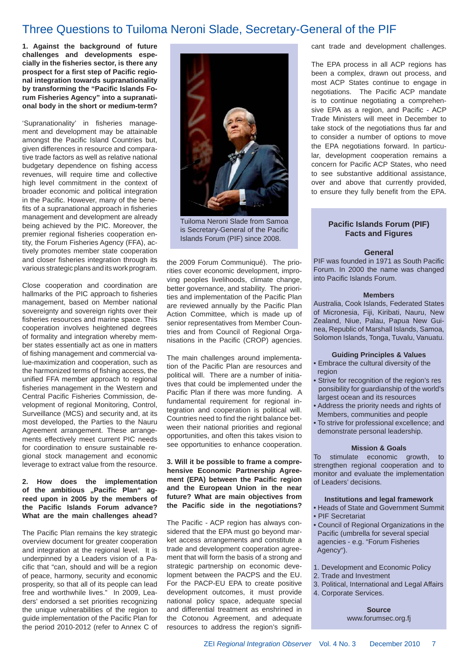### Three Questions to Tuiloma Neroni Slade, Secretary-General of the PIF

**1. Against the background of future challenges and developments especially in the fi sheries sector, is there any**  prospect for a first step of Pacific regio**nal integration towards supranationality**  by transforming the "Pacific Islands Fo**rum Fisheries Agency" into a supranational body in the short or medium-term?** 

'Supranationality' in fisheries management and development may be attainable amongst the Pacific Island Countries but, given differences in resource and comparative trade factors as well as relative national budgetary dependence on fishing access revenues, will require time and collective high level commitment in the context of broader economic and political integration in the Pacific. However, many of the benefits of a supranational approach in fisheries management and development are already being achieved by the PIC. Moreover, the premier regional fisheries cooperation entity, the Forum Fisheries Agency (FFA), actively promotes member state cooperation and closer fisheries integration through its various strategic plans and its work program.

Close cooperation and coordination are hallmarks of the PIC approach to fisheries management, based on Member national sovereignty and sovereign rights over their fisheries resources and marine space. This cooperation involves heightened degrees of formality and integration whereby member states essentially act as one in matters of fishing management and commercial value-maximization and cooperation, such as the harmonized terms of fishing access, the unified FFA member approach to regional fisheries management in the Western and Central Pacific Fisheries Commission, development of regional Monitoring, Control, Surveillance (MCS) and security and, at its most developed, the Parties to the Nauru Agreement arrangement. These arrangements effectively meet current PIC needs for coordination to ensure sustainable regional stock management and economic leverage to extract value from the resource.

### **2. How does the implementation**  of the ambitious "Pacific Plan" ag**reed upon in 2005 by the members of the Pacifi c Islands Forum advance? What are the main challenges ahead?**

The Pacific Plan remains the key strategic overview document for greater cooperation and integration at the regional level. It is underpinned by a Leaders vision of a Pacific that "can, should and will be a region of peace, harmony, security and economic prosperity, so that all of its people can lead free and worthwhile lives." In 2009, Leaders' endorsed a set priorities recognizing the unique vulnerabilities of the region to guide implementation of the Pacific Plan for the period 2010-2012 (refer to Annex C of



Tuiloma Neroni Slade from Samoa is Secretary-General of the Pacific Islands Forum (PIF) since 2008.

the 2009 Forum Communiqué). The priorities cover economic development, improving peoples livelihoods, climate change, better governance, and stability. The priorities and implementation of the Pacific Plan are reviewed annually by the Pacific Plan Action Committee, which is made up of senior representatives from Member Countries and from Council of Regional Organisations in the Pacific (CROP) agencies.

The main challenges around implementation of the Pacific Plan are resources and political will. There are a number of initiatives that could be implemented under the Pacific Plan if there was more funding. A fundamental requirement for regional integration and cooperation is political will. Countries need to find the right balance between their national priorities and regional opportunities, and often this takes vision to see opportunities to enhance cooperation.

### **3. Will it be possible to frame a comprehensive Economic Partnership Agreement (EPA) between the Pacific region and the European Union in the near future? What are main objectives from the Pacifi c side in the negotiations?**

The Pacific - ACP region has always considered that the EPA must go beyond market access arrangements and constitute a trade and development cooperation agreement that will form the basis of a strong and strategic partnership on economic development between the PACPS and the EU. For the PACP-EU EPA to create positive development outcomes, it must provide national policy space, adequate special and differential treatment as enshrined in the Cotonou Agreement, and adequate resources to address the region's significant trade and development challenges.

The EPA process in all ACP regions has been a complex, drawn out process, and most ACP States continue to engage in negotiations. The Pacific ACP mandate is to continue negotiating a comprehensive EPA as a region, and Pacific - ACP Trade Ministers will meet in December to take stock of the negotiations thus far and to consider a number of options to move the EPA negotiations forward. In particular, development cooperation remains a concern for Pacific ACP States, who need to see substantive additional assistance, over and above that currently provided, to ensure they fully benefit from the EPA.

### **Pacifi c Islands Forum (PIF) Facts and Figures**

### **General**

PIF was founded in 1971 as South Pacific Forum. In 2000 the name was changed into Pacific Islands Forum.

#### **Members**

Australia, Cook Islands, Federated States of Micronesia, Fiji, Kiribati, Nauru, New Zealand, Niue, Palau, Papua New Guinea, Republic of Marshall Islands, Samoa, Solomon Islands, Tonga, Tuvalu, Vanuatu.

#### **Guiding Principles & Values**

- Embrace the cultural diversity of the region
- Strive for recognition of the region's res ponsibility for guardianship of the world's largest ocean and its resources
- Address the priority needs and rights of Members, communities and people
- To strive for professional excellence; and demonstrate personal leadership.

#### **Mission & Goals**

To stimulate economic growth, to strengthen regional cooperation and to monitor and evaluate the implementation of Leaders' decisions.

#### **Institutions and legal framework**

- Heads of State and Government Summit
- PIF Secretariat
- Council of Regional Organizations in the Pacific (umbrella for several special agencies - e.g. "Forum Fisheries Agency").
- 1. Development and Economic Policy
- 2. Trade and Investment
- 3. Political, International and Legal Affairs
- 4. Corporate Services.

**Source** www.forumsec.org.fj